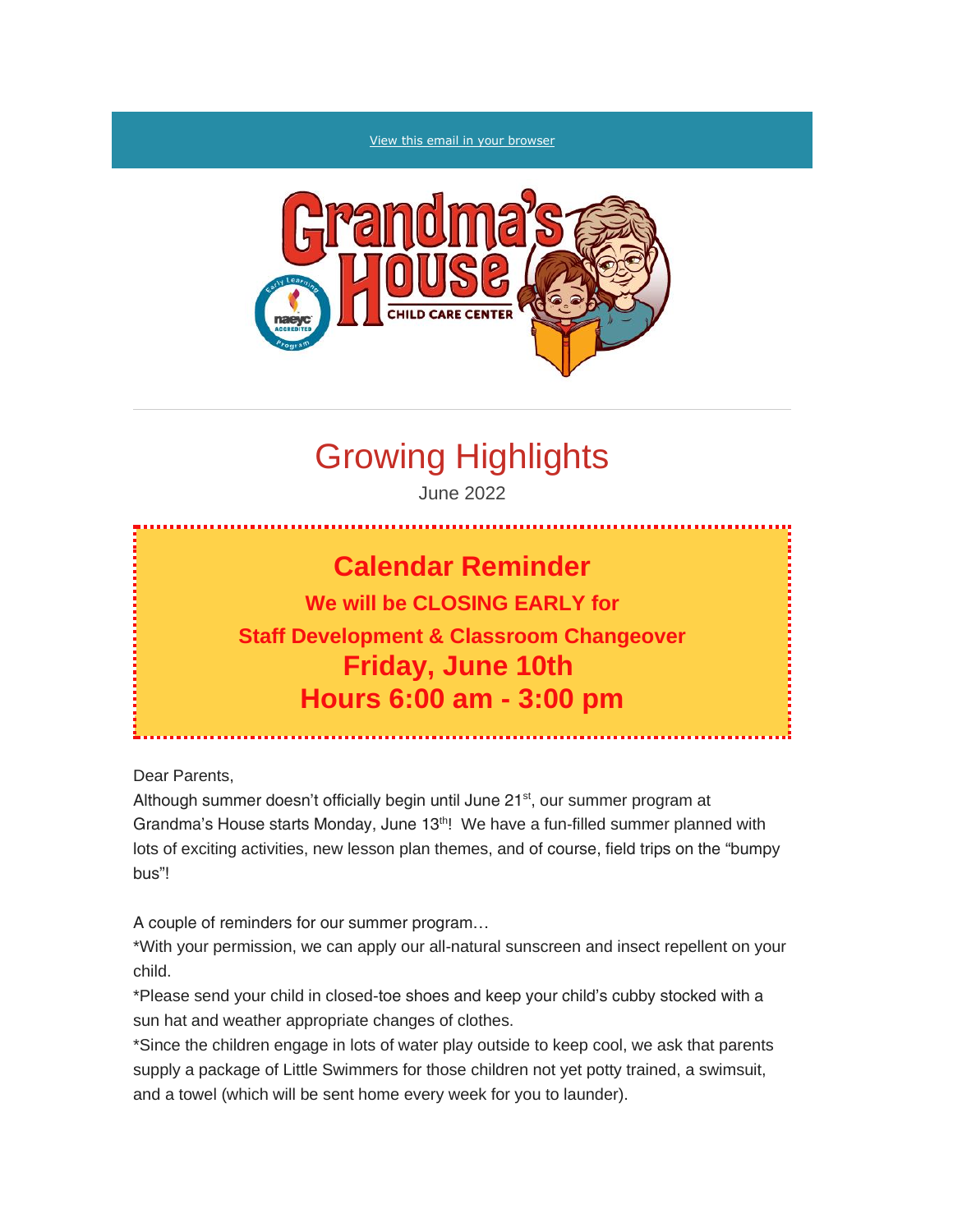#### [View this email in your browser](https://mailchi.mp/ada8031d6185/grandmas-house-parent-newsletter?e=%5bUNIQID%5d)



# Growing Highlights

June 2022

## **Calendar Reminder**

### **We will be CLOSING EARLY for Staff Development & Classroom Changeover Friday, June 10th Hours 6:00 am - 3:00 pm**

Dear Parents,

Although summer doesn't officially begin until June 21<sup>st</sup>, our summer program at Grandma's House starts Monday, June 13<sup>th</sup>! We have a fun-filled summer planned with lots of exciting activities, new lesson plan themes, and of course, field trips on the "bumpy bus"!

A couple of reminders for our summer program…

\*With your permission, we can apply our all-natural sunscreen and insect repellent on your child.

\*Please send your child in closed-toe shoes and keep your child's cubby stocked with a sun hat and weather appropriate changes of clothes.

\*Since the children engage in lots of water play outside to keep cool, we ask that parents supply a package of Little Swimmers for those children not yet potty trained, a swimsuit, and a towel (which will be sent home every week for you to launder).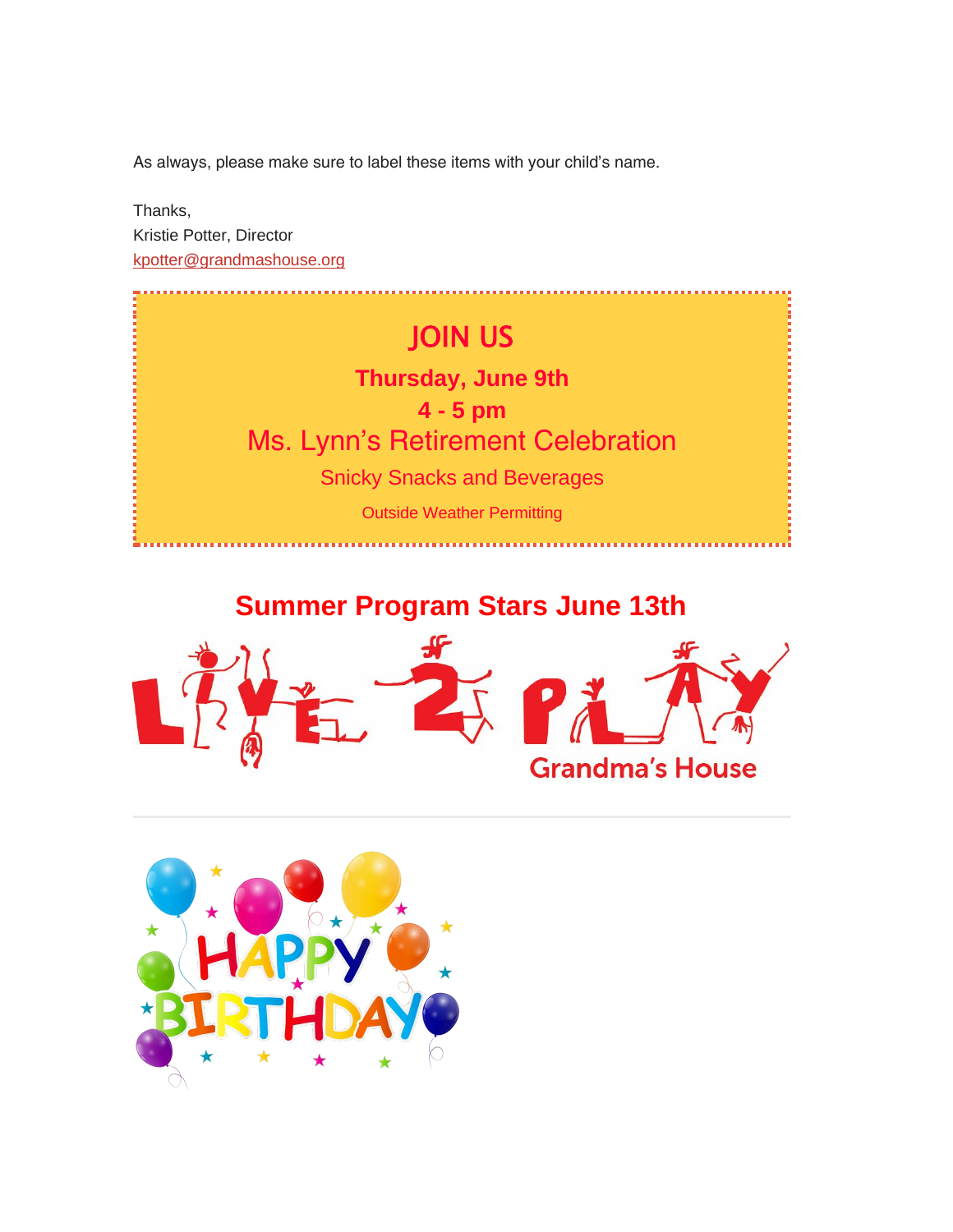As always, please make sure to label these items with your child's name.

Thanks, *Kristie Potter*, Director [kpotter@grandmashouse.org](mailto:kpotter@grandmashouse.org)



### *Summer Program Stars June 13th*



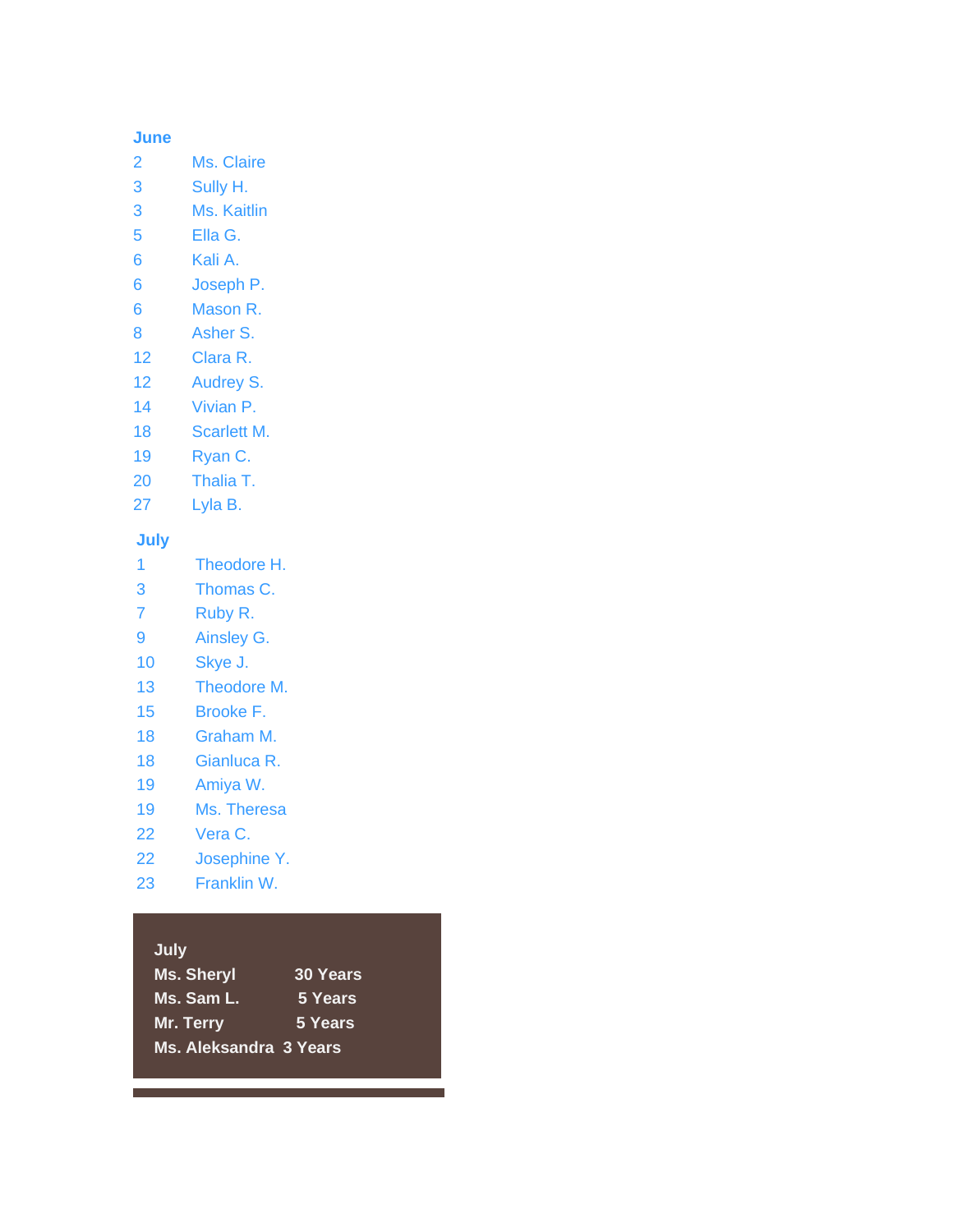#### **June**

- 2 Ms. Claire
- 3 Sully H.
- 3 Ms. Kaitlin
- 5 Ella G.
- 6 Kali A.
- 6 Joseph P.
- 6 Mason R.
- 8 Asher S.
- 12 Clara R.
- 12 Audrey S.
- 14 Vivian P.
- 18 Scarlett M.
- 19 Ryan C.
- 20 Thalia T.
- 27 Lyla B.

### **July**

- 1 Theodore H.
- 3 Thomas C.
- 7 Ruby R.
- 9 Ainsley G.
- 10 Skye J.
- 13 Theodore M.
- 15 Brooke F.
- 18 Graham M.
- 18 Gianluca R.
- 19 Amiya W.
- 19 Ms. Theresa
- 22 Vera C.
- 22 Josephine Y.
- 23 Franklin W.

#### **July**

| <b>U</b> uly           |                 |  |
|------------------------|-----------------|--|
| <b>Ms. Sheryl</b>      | <b>30 Years</b> |  |
| Ms. Sam L.             | 5 Years         |  |
| <b>Mr. Terry</b>       | 5 Years         |  |
| Ms. Aleksandra 3 Years |                 |  |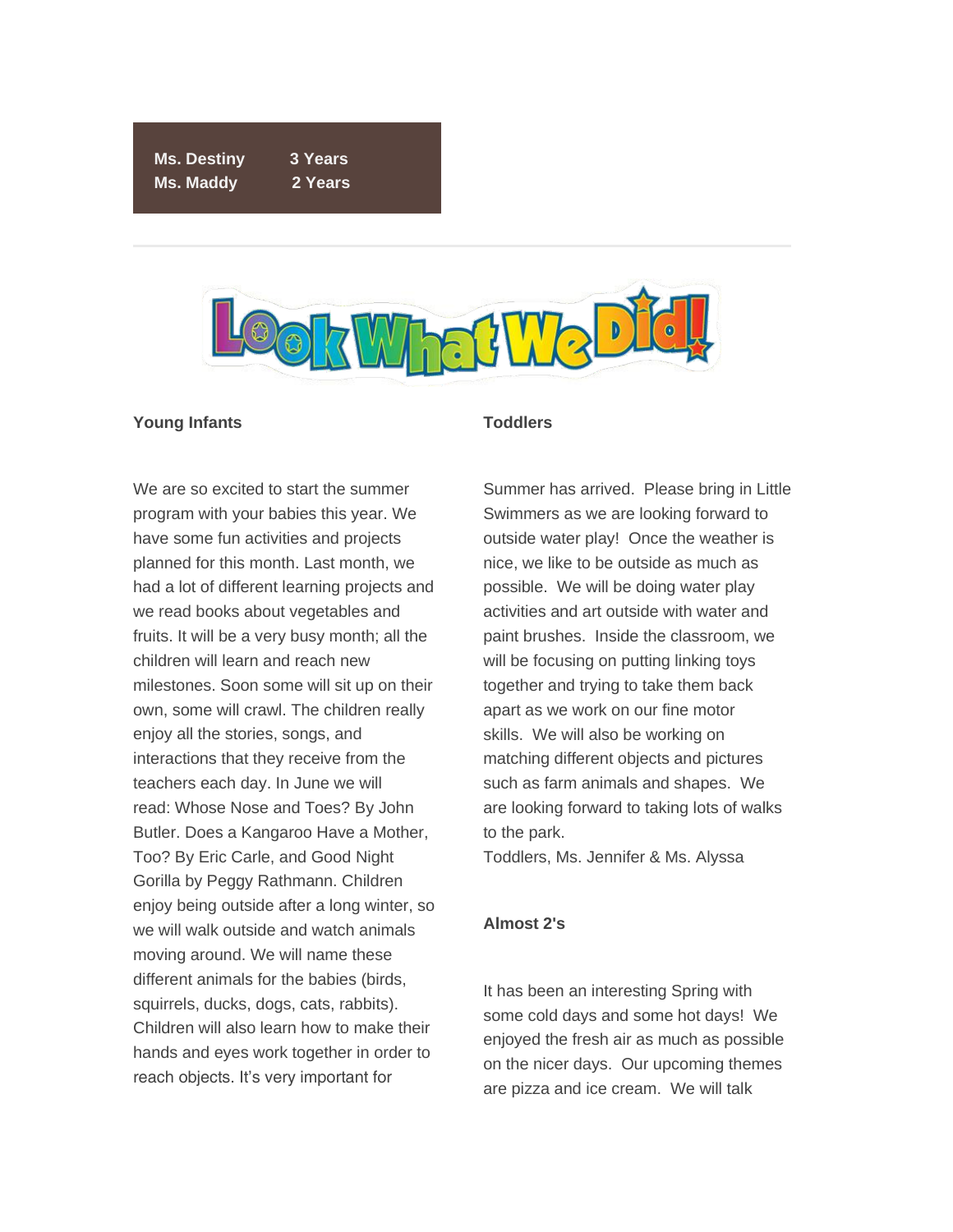*Ms. Destiny 3 Years Ms. Maddy 2 Years*



#### *Young Infants*

We are so excited to start the summer program with your babies this year. We have some fun activities and projects planned for this month. Last month, we had a lot of different learning projects and we read books about vegetables and fruits. It will be a very busy month; all the children will learn and reach new milestones. Soon some will sit up on their own, some will crawl. The children really enjoy all the stories, songs, and interactions that they receive from the teachers each day. In June we will read: *Whose Nose and Toes?* By John Butler. *Does a Kangaroo Have a Mother, Too?* By Eric Carle, and *Good Night Gorilla* by Peggy Rathmann. Children enjoy being outside after a long winter, so we will walk outside and watch animals moving around. We will name these different animals for the babies (birds, squirrels, ducks, dogs, cats, rabbits). Children will also learn how to make their hands and eyes work together in order to reach objects. It's very important for

#### *Toddlers*

Summer has arrived. Please bring in Little Swimmers as we are looking forward to outside water play! Once the weather is nice, we like to be outside as much as possible. We will be doing water play activities and art outside with water and paint brushes. Inside the classroom, we will be focusing on putting linking toys together and trying to take them back apart as we work on our fine motor skills. We will also be working on matching different objects and pictures such as farm animals and shapes. We are looking forward to taking lots of walks to the park.

*Toddlers, Ms. Jennifer & Ms. Alyssa*

#### *Almost 2's*

It has been an interesting Spring with some cold days and some hot days! We enjoyed the fresh air as much as possible on the nicer days. Our upcoming themes are pizza and ice cream. We will talk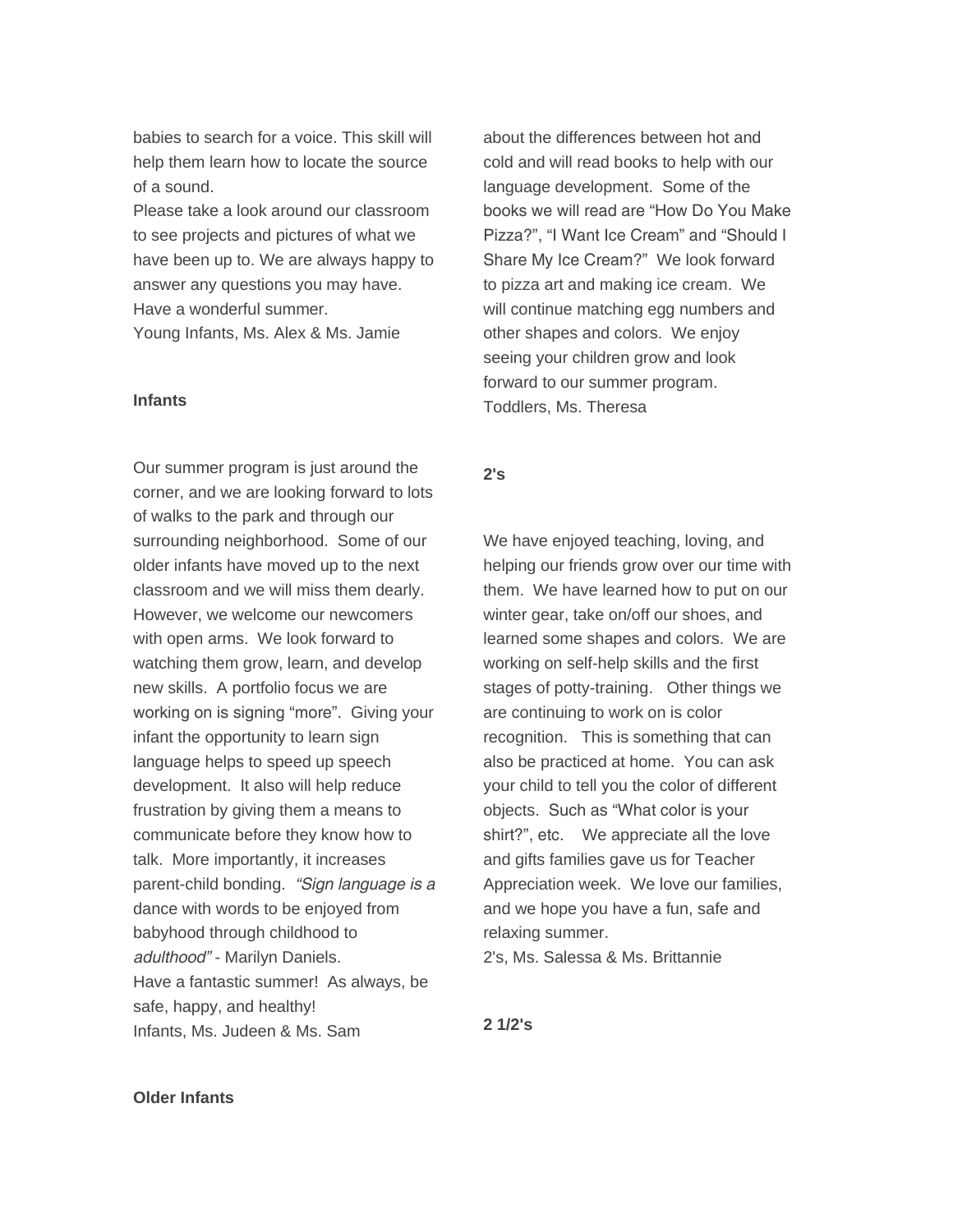babies to search for a voice. This skill will help them learn how to locate the source of a sound.

Please take a look around our classroom to see projects and pictures of what we have been up to. We are always happy to answer any questions you may have. Have a wonderful summer.

*Young Infants, Ms. Alex & Ms. Jamie*

#### *Infants*

Our summer program is just around the corner, and we are looking forward to lots of walks to the park and through our surrounding neighborhood. Some of our older infants have moved up to the next classroom and we will miss them dearly. However, we welcome our newcomers with open arms. We look forward to watching them grow, learn, and develop new skills. A portfolio focus we are working on is signing "more". Giving your infant the opportunity to learn sign language helps to speed up speech development. It also will help reduce frustration by giving them a means to communicate before they know how to talk. More importantly, it increases parent-child bonding. *"Sign language is a dance with words to be enjoyed from babyhood through childhood to adulthood"* - Marilyn Daniels. Have a fantastic summer! As always, be safe, happy, and healthy! *Infants, Ms. Judeen & Ms. Sam*

about the differences between hot and cold and will read books to help with our language development. Some of the books we will read are "How Do You Make Pizza?", "I Want Ice Cream" and "Should I Share My Ice Cream?" We look forward to pizza art and making ice cream. We will continue matching egg numbers and other shapes and colors. We enjoy seeing your children grow and look forward to our summer program. *Toddlers, Ms. Theresa*

#### *2's*

We have enjoyed teaching, loving, and helping our friends grow over our time with them. We have learned how to put on our winter gear, take on/off our shoes, and learned some shapes and colors. We are working on self-help skills and the first stages of potty-training. Other things we are continuing to work on is color recognition. This is something that can also be practiced at home. You can ask your child to tell you the color of different objects. Such as "What color is your shirt?", etc. We appreciate all the love and gifts families gave us for Teacher Appreciation week. We love our families, and we hope you have a fun, safe and relaxing summer.

*2's, Ms. Salessa & Ms. Brittannie*

*2 1/2's*

#### *Older Infants*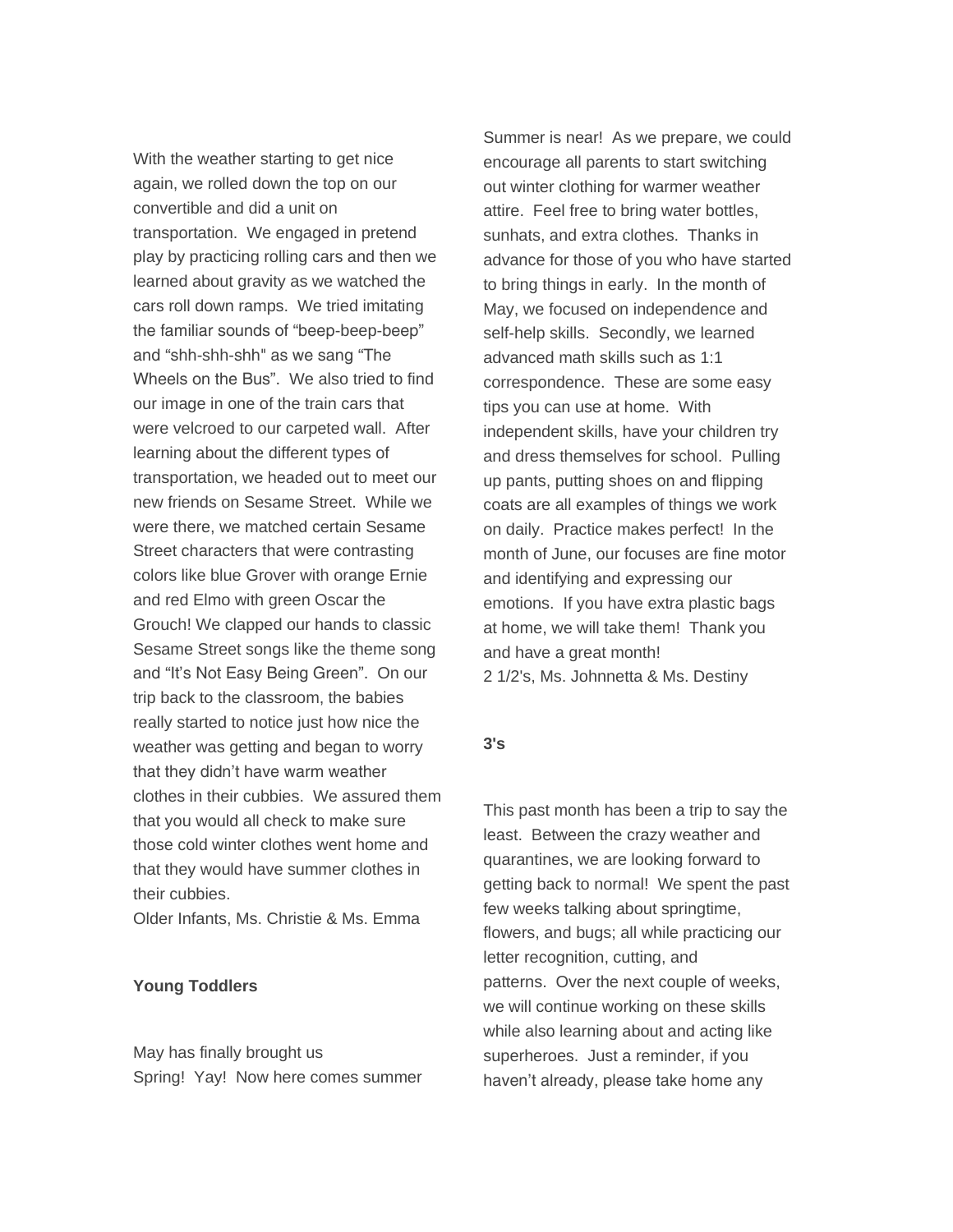With the weather starting to get nice again, we rolled down the top on our convertible and did a unit on transportation. We engaged in pretend play by practicing rolling cars and then we learned about gravity as we watched the cars roll down ramps. We tried imitating the familiar sounds of "beep-beep-beep" and "shh-shh-shh" as we sang "The Wheels on the Bus". We also tried to find our image in one of the train cars that were velcroed to our carpeted wall. After learning about the different types of transportation, we headed out to meet our new friends on Sesame Street. While we were there, we matched certain Sesame Street characters that were contrasting colors like blue Grover with orange Ernie and red Elmo with green Oscar the Grouch! We clapped our hands to classic Sesame Street songs like the theme song and "It's Not Easy Being Green". On our trip back to the classroom, the babies really started to notice just how nice the weather was getting and began to worry that they didn't have warm weather clothes in their cubbies. We assured them that you would all check to make sure those cold winter clothes went home and that they would have summer clothes in their cubbies.

*Older Infants, Ms. Christie & Ms. Emma*

#### *Young Toddlers*

May has finally brought us Spring! Yay! Now here comes summer Summer is near! As we prepare, we could encourage all parents to start switching out winter clothing for warmer weather attire. Feel free to bring water bottles, sunhats, and extra clothes. Thanks in advance for those of you who have started to bring things in early. In the month of May, we focused on independence and self-help skills. Secondly, we learned advanced math skills such as 1:1 correspondence. These are some easy tips you can use at home. With independent skills, have your children try and dress themselves for school. Pulling up pants, putting shoes on and flipping coats are all examples of things we work on daily. Practice makes perfect! In the month of June, our focuses are fine motor and identifying and expressing our emotions. If you have extra plastic bags at home, we will take them! Thank you and have a great month! *2 1/2's, Ms. Johnnetta & Ms. Destiny*

#### *3's*

This past month has been a trip to say the least. Between the crazy weather and quarantines, we are looking forward to getting back to normal! We spent the past few weeks talking about springtime, flowers, and bugs; all while practicing our letter recognition, cutting, and patterns. Over the next couple of weeks, we will continue working on these skills while also learning about and acting like superheroes. Just a reminder, if you haven't already, please take home any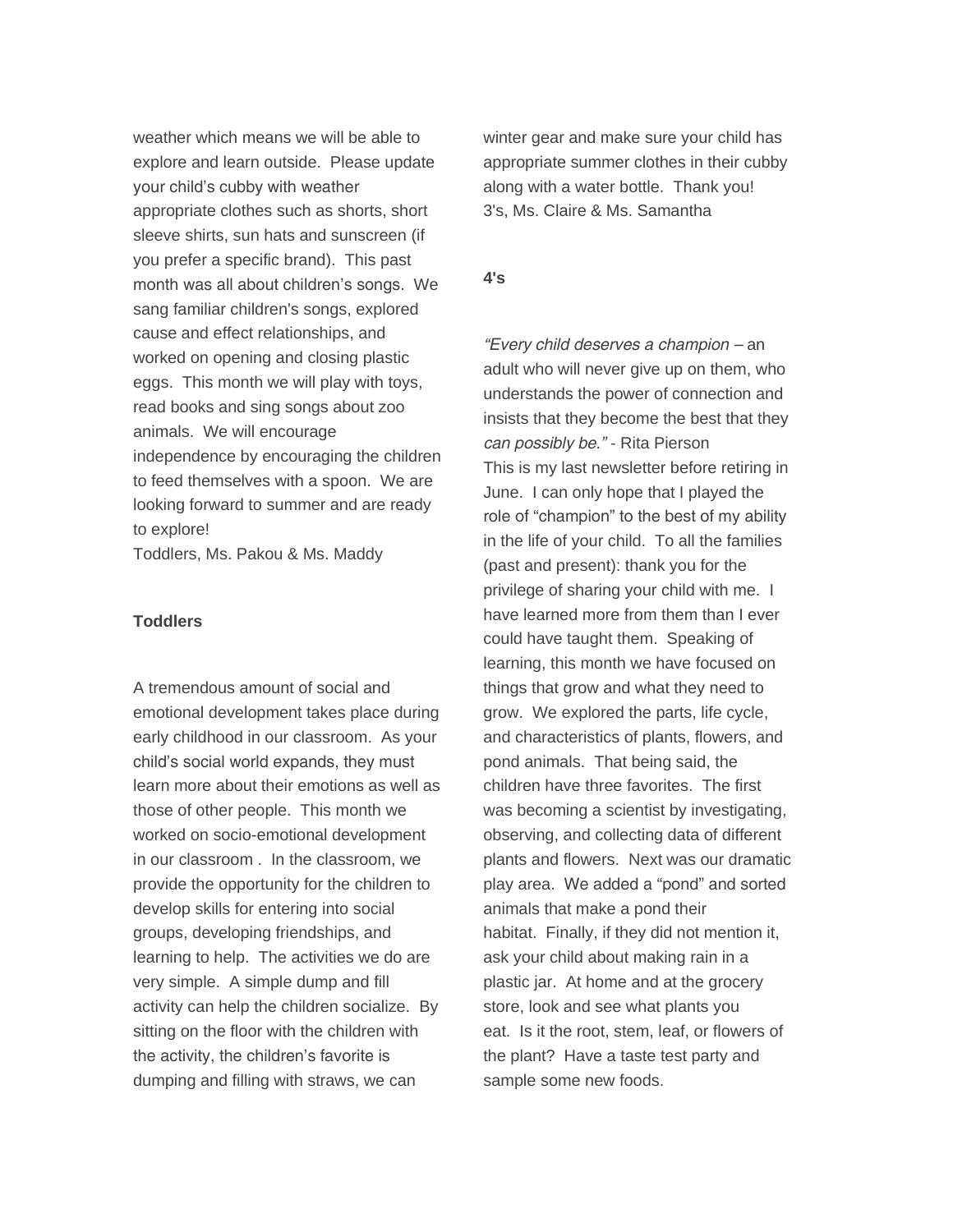weather which means we will be able to explore and learn outside. Please update your child's cubby with weather appropriate clothes such as shorts, short sleeve shirts, sun hats and sunscreen (if you prefer a specific brand). This past month was all about children's songs. We sang familiar children's songs, explored cause and effect relationships, and worked on opening and closing plastic eggs. This month we will play with toys, read books and sing songs about zoo animals. We will encourage independence by encouraging the children to feed themselves with a spoon. We are looking forward to summer and are ready to explore!

*Toddlers, Ms. Pakou & Ms. Maddy*

#### *Toddlers*

A tremendous amount of social and emotional development takes place during early childhood in our classroom. As your child's social world expands, they must learn more about their emotions as well as those of other people. This month we worked on socio-emotional development in our classroom . In the classroom, we provide the opportunity for the children to develop skills for entering into social groups, developing friendships, and learning to help. The activities we do are very simple. A simple dump and fill activity can help the children socialize. By sitting on the floor with the children with the activity, the children's favorite is dumping and filling with straws, we can

winter gear and make sure your child has appropriate summer clothes in their cubby along with a water bottle. Thank you! *3's, Ms. Claire & Ms. Samantha*

#### *4's*

*"Every child deserves a champion – an adult who will never give up on them, who understands the power of connection and insists that they become the best that they can possibly be."* - Rita Pierson This is my last newsletter before retiring in June. I can only hope that I played the role of "champion" to the best of my ability in the life of your child. To all the families (past and present): thank you for the privilege of sharing your child with me. I have learned more from them than I ever could have taught them. Speaking of learning, this month we have focused on things that grow and what they need to grow. We explored the parts, life cycle, and characteristics of plants, flowers, and pond animals. That being said, the children have three favorites. The first was becoming a scientist by investigating, observing, and collecting data of different plants and flowers. Next was our dramatic play area. We added a "pond" and sorted animals that make a pond their habitat. Finally, if they did not mention it, ask your child about making rain in a plastic jar. At home and at the grocery store, look and see what plants you eat. Is it the root, stem, leaf, or flowers of the plant? Have a taste test party and sample some new foods.